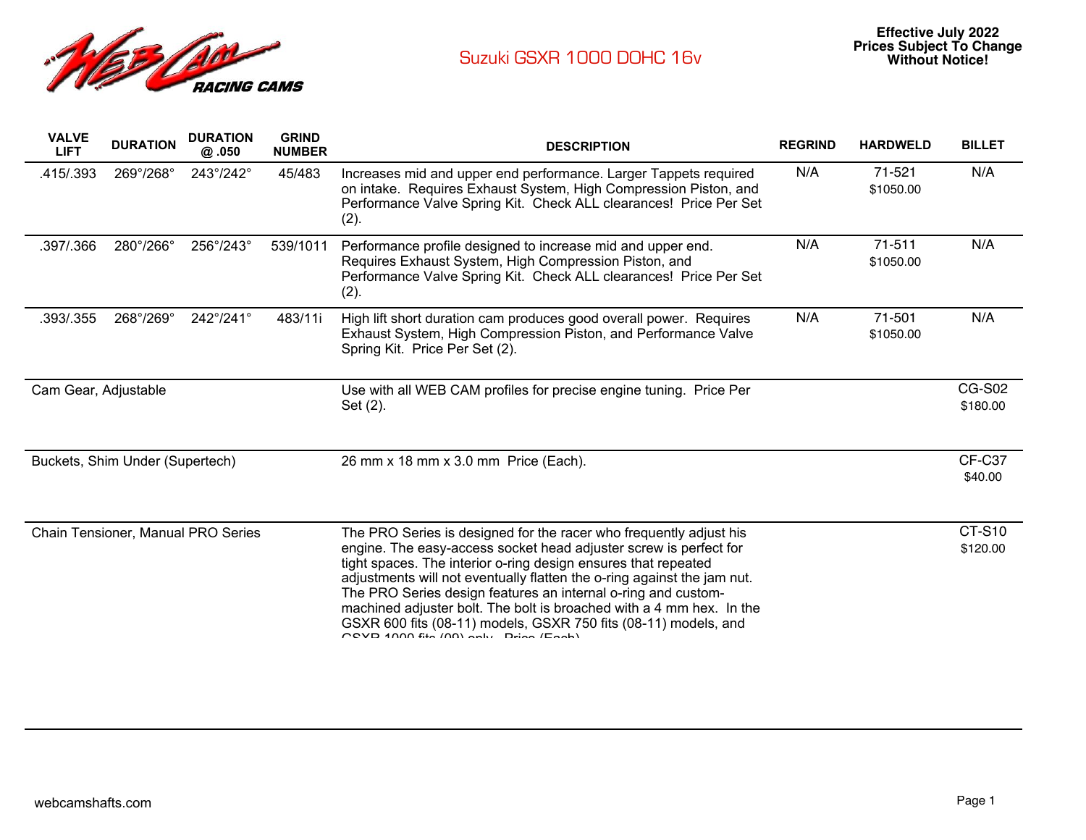

| <b>VALVE</b><br><b>LIFT</b>     | <b>DURATION</b> | <b>DURATION</b><br>@.050           | <b>GRIND</b><br><b>NUMBER</b> | <b>DESCRIPTION</b>                                                                                                                                                                                                                                                                                                                                                                                                                                                                                                                                        | <b>REGRIND</b> | <b>HARDWELD</b>     | <b>BILLET</b>             |
|---------------------------------|-----------------|------------------------------------|-------------------------------|-----------------------------------------------------------------------------------------------------------------------------------------------------------------------------------------------------------------------------------------------------------------------------------------------------------------------------------------------------------------------------------------------------------------------------------------------------------------------------------------------------------------------------------------------------------|----------------|---------------------|---------------------------|
| .415/.393                       | 269°/268°       | 243°/242°                          | 45/483                        | Increases mid and upper end performance. Larger Tappets required<br>on intake. Requires Exhaust System, High Compression Piston, and<br>Performance Valve Spring Kit. Check ALL clearances! Price Per Set<br>(2).                                                                                                                                                                                                                                                                                                                                         | N/A            | 71-521<br>\$1050.00 | N/A                       |
| .397/.366                       | 280°/266°       | 256°/243°                          | 539/1011                      | Performance profile designed to increase mid and upper end.<br>Requires Exhaust System, High Compression Piston, and<br>Performance Valve Spring Kit. Check ALL clearances! Price Per Set<br>(2).                                                                                                                                                                                                                                                                                                                                                         | N/A            | 71-511<br>\$1050.00 | N/A                       |
| .393/.355                       | 268°/269°       | $242^{\circ}/241^{\circ}$          | 483/11i                       | High lift short duration cam produces good overall power. Requires<br>Exhaust System, High Compression Piston, and Performance Valve<br>Spring Kit. Price Per Set (2).                                                                                                                                                                                                                                                                                                                                                                                    | N/A            | 71-501<br>\$1050.00 | N/A                       |
| Cam Gear, Adjustable            |                 |                                    |                               | Use with all WEB CAM profiles for precise engine tuning. Price Per<br>Set (2).                                                                                                                                                                                                                                                                                                                                                                                                                                                                            |                |                     | <b>CG-S02</b><br>\$180.00 |
| Buckets, Shim Under (Supertech) |                 |                                    |                               | 26 mm x 18 mm x 3.0 mm Price (Each).                                                                                                                                                                                                                                                                                                                                                                                                                                                                                                                      |                |                     | CF-C37<br>\$40.00         |
|                                 |                 | Chain Tensioner, Manual PRO Series |                               | The PRO Series is designed for the racer who frequently adjust his<br>engine. The easy-access socket head adjuster screw is perfect for<br>tight spaces. The interior o-ring design ensures that repeated<br>adjustments will not eventually flatten the o-ring against the jam nut.<br>The PRO Series design features an internal o-ring and custom-<br>machined adjuster bolt. The bolt is broached with a 4 mm hex. In the<br>GSXR 600 fits (08-11) models, GSXR 750 fits (08-11) models, and<br>$P$ CVD $1000$ fin $(0)$ and $P_{\text{min}}$ $(0.0)$ |                |                     | <b>CT-S10</b><br>\$120.00 |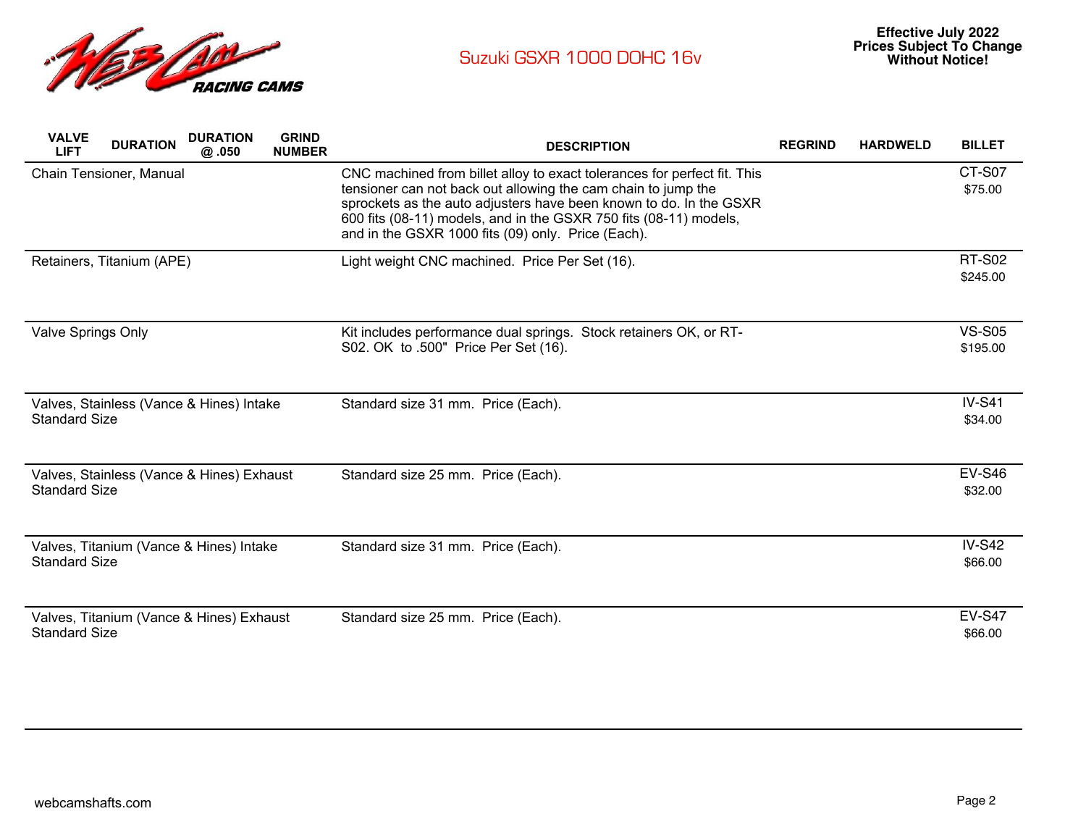

| <b>VALVE</b><br><b>LIFT</b> | <b>DURATION</b>                           | <b>DURATION</b><br>@ .050 | <b>GRIND</b><br><b>NUMBER</b> | <b>DESCRIPTION</b>                                                                                                                                                                                                                                                                                                                         | <b>REGRIND</b> | <b>HARDWELD</b> | <b>BILLET</b>             |
|-----------------------------|-------------------------------------------|---------------------------|-------------------------------|--------------------------------------------------------------------------------------------------------------------------------------------------------------------------------------------------------------------------------------------------------------------------------------------------------------------------------------------|----------------|-----------------|---------------------------|
|                             | Chain Tensioner, Manual                   |                           |                               | CNC machined from billet alloy to exact tolerances for perfect fit. This<br>tensioner can not back out allowing the cam chain to jump the<br>sprockets as the auto adjusters have been known to do. In the GSXR<br>600 fits (08-11) models, and in the GSXR 750 fits (08-11) models,<br>and in the GSXR 1000 fits (09) only. Price (Each). |                |                 | CT-S07<br>\$75.00         |
|                             | Retainers, Titanium (APE)                 |                           |                               | Light weight CNC machined. Price Per Set (16).                                                                                                                                                                                                                                                                                             |                |                 | <b>RT-S02</b><br>\$245.00 |
| <b>Valve Springs Only</b>   |                                           |                           |                               | Kit includes performance dual springs. Stock retainers OK, or RT-<br>S02. OK to .500" Price Per Set (16).                                                                                                                                                                                                                                  |                |                 | <b>VS-S05</b><br>\$195.00 |
| <b>Standard Size</b>        | Valves, Stainless (Vance & Hines) Intake  |                           |                               | Standard size 31 mm. Price (Each).                                                                                                                                                                                                                                                                                                         |                |                 | $IV-S41$<br>\$34.00       |
| <b>Standard Size</b>        | Valves, Stainless (Vance & Hines) Exhaust |                           |                               | Standard size 25 mm. Price (Each).                                                                                                                                                                                                                                                                                                         |                |                 | <b>EV-S46</b><br>\$32.00  |
| <b>Standard Size</b>        | Valves, Titanium (Vance & Hines) Intake   |                           |                               | Standard size 31 mm. Price (Each).                                                                                                                                                                                                                                                                                                         |                |                 | $IV-S42$<br>\$66.00       |
| <b>Standard Size</b>        | Valves, Titanium (Vance & Hines) Exhaust  |                           |                               | Standard size 25 mm. Price (Each).                                                                                                                                                                                                                                                                                                         |                |                 | <b>EV-S47</b><br>\$66.00  |